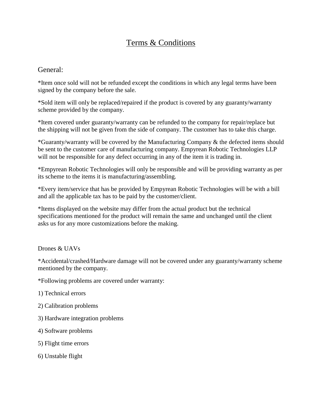# Terms & Conditions

## General:

\*Item once sold will not be refunded except the conditions in which any legal terms have been signed by the company before the sale.

\*Sold item will only be replaced/repaired if the product is covered by any guaranty/warranty scheme provided by the company.

\*Item covered under guaranty/warranty can be refunded to the company for repair/replace but the shipping will not be given from the side of company. The customer has to take this charge.

\*Guaranty/warranty will be covered by the Manufacturing Company & the defected items should be sent to the customer care of manufacturing company. Empyrean Robotic Technologies LLP will not be responsible for any defect occurring in any of the item it is trading in.

\*Empyrean Robotic Technologies will only be responsible and will be providing warranty as per its scheme to the items it is manufacturing/assembling.

\*Every item/service that has be provided by Empyrean Robotic Technologies will be with a bill and all the applicable tax has to be paid by the customer/client.

\*Items displayed on the website may differ from the actual product but the technical specifications mentioned for the product will remain the same and unchanged until the client asks us for any more customizations before the making.

#### Drones & UAVs

\*Accidental/crashed/Hardware damage will not be covered under any guaranty/warranty scheme mentioned by the company.

\*Following problems are covered under warranty:

- 1) Technical errors
- 2) Calibration problems
- 3) Hardware integration problems
- 4) Software problems
- 5) Flight time errors
- 6) Unstable flight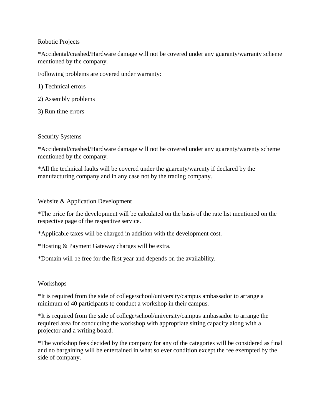#### Robotic Projects

\*Accidental/crashed/Hardware damage will not be covered under any guaranty/warranty scheme mentioned by the company.

Following problems are covered under warranty:

1) Technical errors

- 2) Assembly problems
- 3) Run time errors

#### Security Systems

\*Accidental/crashed/Hardware damage will not be covered under any guarenty/warenty scheme mentioned by the company.

\*All the technical faults will be covered under the guarenty/warenty if declared by the manufacturing company and in any case not by the trading company.

#### Website & Application Development

\*The price for the development will be calculated on the basis of the rate list mentioned on the respective page of the respective service.

\*Applicable taxes will be charged in addition with the development cost.

\*Hosting & Payment Gateway charges will be extra.

\*Domain will be free for the first year and depends on the availability.

### Workshops

\*It is required from the side of college/school/university/campus ambassador to arrange a minimum of 40 participants to conduct a workshop in their campus.

\*It is required from the side of college/school/university/campus ambassador to arrange the required area for conducting the workshop with appropriate sitting capacity along with a projector and a writing board.

\*The workshop fees decided by the company for any of the categories will be considered as final and no bargaining will be entertained in what so ever condition except the fee exempted by the side of company.